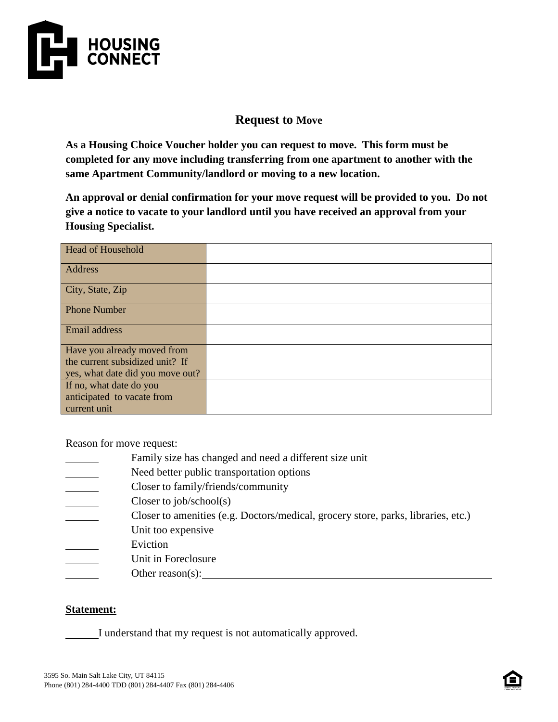

## **Request to Move**

**As a Housing Choice Voucher holder you can request to move. This form must be completed for any move including transferring from one apartment to another with the same Apartment Community/landlord or moving to a new location.**

**An approval or denial confirmation for your move request will be provided to you. Do not give a notice to vacate to your landlord until you have received an approval from your Housing Specialist.**

| <b>Head of Household</b>         |  |
|----------------------------------|--|
| Address                          |  |
| City, State, Zip                 |  |
| <b>Phone Number</b>              |  |
| Email address                    |  |
| Have you already moved from      |  |
| the current subsidized unit? If  |  |
| yes, what date did you move out? |  |
| If no, what date do you          |  |
| anticipated to vacate from       |  |
| current unit                     |  |

Reason for move request:

- Family size has changed and need a different size unit
- Need better public transportation options
- Closer to family/friends/community
- Closer to job/school(s)
- Closer to amenities (e.g. Doctors/medical, grocery store, parks, libraries, etc.)
- Unit too expensive
- Eviction
- Unit in Foreclosure
- Other reason(s):

## **Statement:**

I understand that my request is not automatically approved.